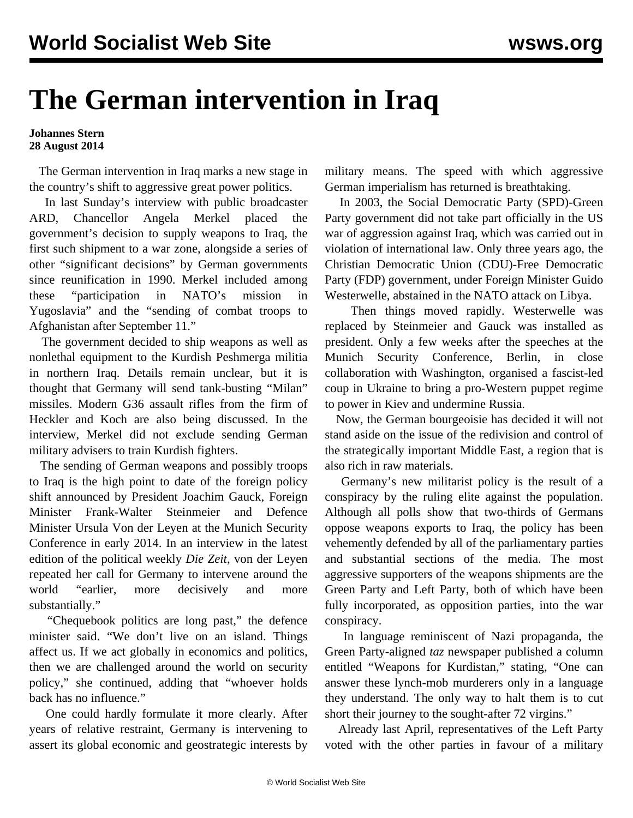## **The German intervention in Iraq**

## **Johannes Stern 28 August 2014**

 The German intervention in Iraq marks a new stage in the country's shift to aggressive great power politics.

 In last Sunday's interview with public broadcaster ARD, Chancellor Angela Merkel placed the government's decision to supply weapons to Iraq, the first such shipment to a war zone, alongside a series of other "significant decisions" by German governments since reunification in 1990. Merkel included among these "participation in NATO's mission in Yugoslavia" and the "sending of combat troops to Afghanistan after September 11."

 The government decided to ship weapons as well as nonlethal equipment to the Kurdish Peshmerga militia in northern Iraq. Details remain unclear, but it is thought that Germany will send tank-busting "Milan" missiles. Modern G36 assault rifles from the firm of Heckler and Koch are also being discussed. In the interview, Merkel did not exclude sending German military advisers to train Kurdish fighters.

 The sending of German weapons and possibly troops to Iraq is the high point to date of the foreign policy shift announced by President Joachim Gauck, Foreign Minister Frank-Walter Steinmeier and Defence Minister Ursula Von der Leyen at the Munich Security Conference in early 2014. In an interview in the latest edition of the political weekly *Die Zeit*, von der Leyen repeated her call for Germany to intervene around the world "earlier, more decisively and more substantially."

 "Chequebook politics are long past," the defence minister said. "We don't live on an island. Things affect us. If we act globally in economics and politics, then we are challenged around the world on security policy," she continued, adding that "whoever holds back has no influence."

 One could hardly formulate it more clearly. After years of relative restraint, Germany is intervening to assert its global economic and geostrategic interests by military means. The speed with which aggressive German imperialism has returned is breathtaking.

 In 2003, the Social Democratic Party (SPD)-Green Party government did not take part officially in the US war of aggression against Iraq, which was carried out in violation of international law. Only three years ago, the Christian Democratic Union (CDU)-Free Democratic Party (FDP) government, under Foreign Minister Guido Westerwelle, abstained in the NATO attack on Libya.

 Then things moved rapidly. Westerwelle was replaced by Steinmeier and Gauck was installed as president. Only a few weeks after the speeches at the Munich Security Conference, Berlin, in close collaboration with Washington, organised a fascist-led coup in Ukraine to bring a pro-Western puppet regime to power in Kiev and undermine Russia.

 Now, the German bourgeoisie has decided it will not stand aside on the issue of the redivision and control of the strategically important Middle East, a region that is also rich in raw materials.

 Germany's new militarist policy is the result of a conspiracy by the ruling elite against the population. Although all polls show that two-thirds of Germans oppose weapons exports to Iraq, the policy has been vehemently defended by all of the parliamentary parties and substantial sections of the media. The most aggressive supporters of the weapons shipments are the Green Party and Left Party, both of which have been fully incorporated, as opposition parties, into the war conspiracy.

 In language reminiscent of Nazi propaganda, the Green Party-aligned *taz* newspaper published a column entitled "Weapons for Kurdistan," stating, "One can answer these lynch-mob murderers only in a language they understand. The only way to halt them is to cut short their journey to the sought-after 72 virgins."

 Already last April, representatives of the Left Party voted with the other parties in favour of a military